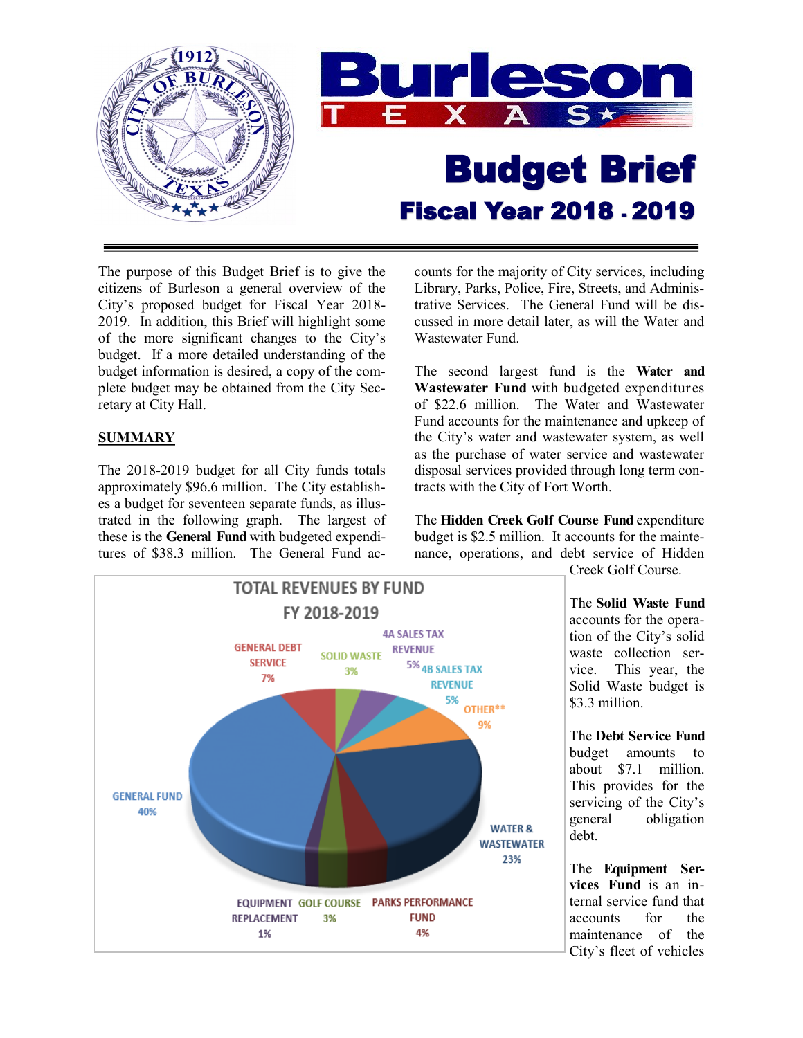

The purpose of this Budget Brief is to give the citizens of Burleson a general overview of the City's proposed budget for Fiscal Year 2018- 2019. In addition, this Brief will highlight some of the more significant changes to the City's budget. If a more detailed understanding of the budget information is desired, a copy of the complete budget may be obtained from the City Secretary at City Hall.

# **SUMMARY**

The 2018-2019 budget for all City funds totals approximately \$96.6 million. The City establishes a budget for seventeen separate funds, as illustrated in the following graph. The largest of these is the **General Fund** with budgeted expenditures of \$38.3 million. The General Fund accounts for the majority of City services, including Library, Parks, Police, Fire, Streets, and Administrative Services. The General Fund will be discussed in more detail later, as will the Water and Wastewater Fund.

The second largest fund is the **Water and Wastewater Fund** with budgeted expenditures of \$22.6 million. The Water and Wastewater Fund accounts for the maintenance and upkeep of the City's water and wastewater system, as well as the purchase of water service and wastewater disposal services provided through long term contracts with the City of Fort Worth.

The **Hidden Creek Golf Course Fund** expenditure budget is \$2.5 million. It accounts for the maintenance, operations, and debt service of Hidden



Creek Golf Course.

The **Solid Waste Fund**  accounts for the operation of the City's solid waste collection service. This year, the Solid Waste budget is \$3.3 million.

The **Debt Service Fund** budget amounts to about \$7.1 million. This provides for the servicing of the City's general obligation debt.

The **Equipment Services Fund** is an internal service fund that accounts for the maintenance of the City's fleet of vehicles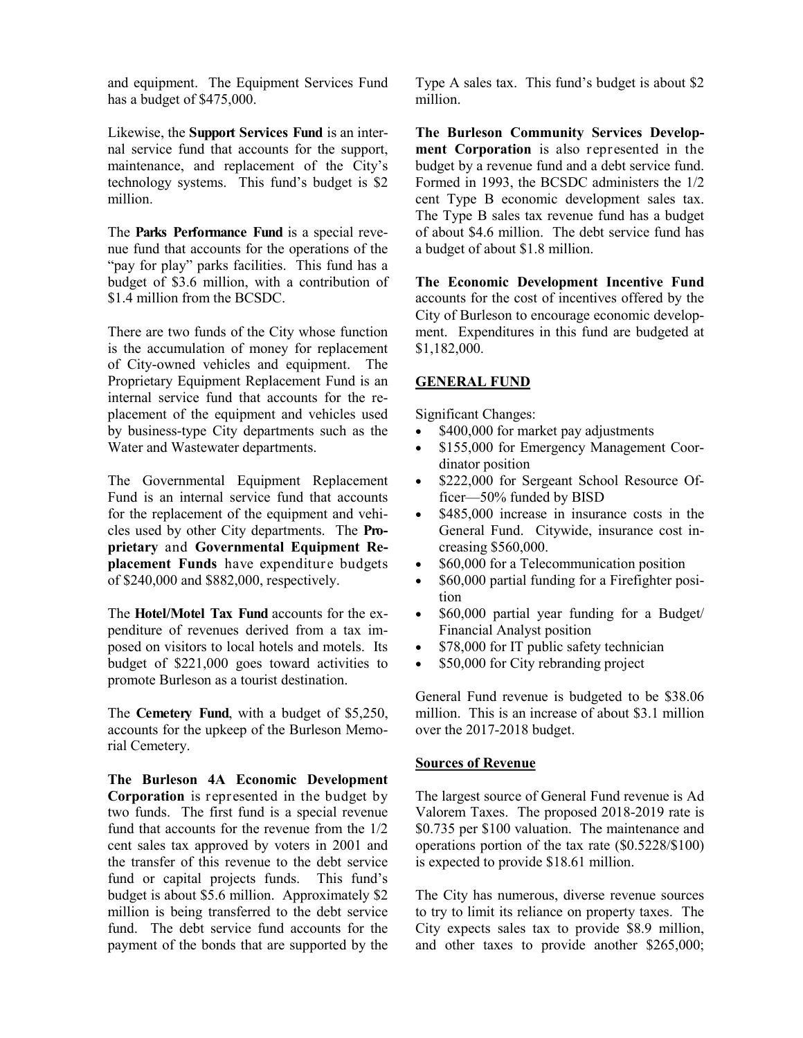and equipment. The Equipment Services Fund has a budget of \$475,000.

Likewise, the **Support Services Fund** is an internal service fund that accounts for the support, maintenance, and replacement of the City's technology systems. This fund's budget is \$2 million.

The **Parks Performance Fund** is a special revenue fund that accounts for the operations of the "pay for play" parks facilities. This fund has a budget of \$3.6 million, with a contribution of \$1.4 million from the BCSDC.

There are two funds of the City whose function is the accumulation of money for replacement of City-owned vehicles and equipment. The Proprietary Equipment Replacement Fund is an internal service fund that accounts for the replacement of the equipment and vehicles used by business-type City departments such as the Water and Wastewater departments.

The Governmental Equipment Replacement Fund is an internal service fund that accounts for the replacement of the equipment and vehicles used by other City departments. The **Proprietary** and **Governmental Equipment Replacement Funds** have expenditure budgets of \$240,000 and \$882,000, respectively.

The **Hotel/Motel Tax Fund** accounts for the expenditure of revenues derived from a tax imposed on visitors to local hotels and motels. Its budget of \$221,000 goes toward activities to promote Burleson as a tourist destination.

The **Cemetery Fund**, with a budget of \$5,250, accounts for the upkeep of the Burleson Memorial Cemetery.

**The Burleson 4A Economic Development Corporation** is represented in the budget by two funds. The first fund is a special revenue fund that accounts for the revenue from the 1/2 cent sales tax approved by voters in 2001 and the transfer of this revenue to the debt service fund or capital projects funds. This fund's budget is about \$5.6 million. Approximately \$2 million is being transferred to the debt service fund. The debt service fund accounts for the payment of the bonds that are supported by the Type A sales tax. This fund's budget is about \$2 million.

**The Burleson Community Services Development Corporation** is also represented in the budget by a revenue fund and a debt service fund. Formed in 1993, the BCSDC administers the 1/2 cent Type B economic development sales tax. The Type B sales tax revenue fund has a budget of about \$4.6 million. The debt service fund has a budget of about \$1.8 million.

**The Economic Development Incentive Fund**  accounts for the cost of incentives offered by the City of Burleson to encourage economic development. Expenditures in this fund are budgeted at \$1,182,000.

## **GENERAL FUND**

Significant Changes:

- \$400,000 for market pay adjustments
- \$155,000 for Emergency Management Coordinator position
- \$222,000 for Sergeant School Resource Officer—50% funded by BISD
- \$485,000 increase in insurance costs in the General Fund. Citywide, insurance cost increasing \$560,000.
- \$60,000 for a Telecommunication position
- \$60,000 partial funding for a Firefighter position
- \$60,000 partial year funding for a Budget/ Financial Analyst position
- \$78,000 for IT public safety technician
- \$50,000 for City rebranding project

General Fund revenue is budgeted to be \$38.06 million. This is an increase of about \$3.1 million over the 2017-2018 budget.

## **Sources of Revenue**

The largest source of General Fund revenue is Ad Valorem Taxes. The proposed 2018-2019 rate is \$0.735 per \$100 valuation. The maintenance and operations portion of the tax rate (\$0.5228/\$100) is expected to provide \$18.61 million.

The City has numerous, diverse revenue sources to try to limit its reliance on property taxes. The City expects sales tax to provide \$8.9 million, and other taxes to provide another \$265,000;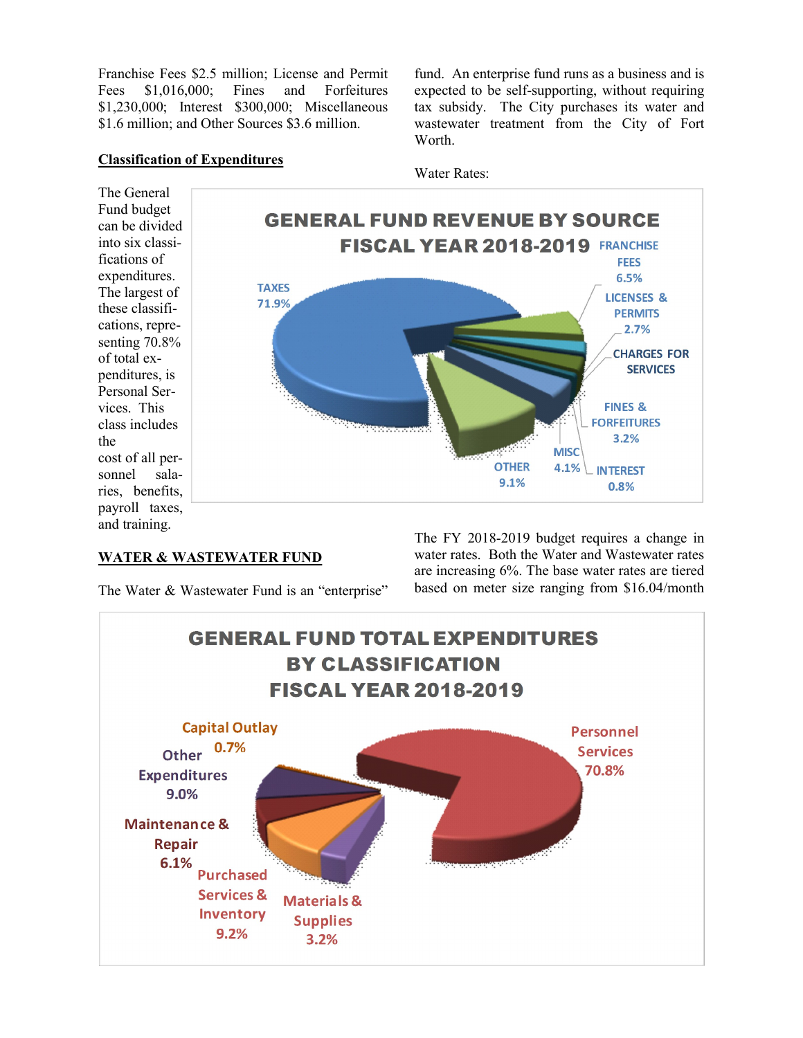Franchise Fees \$2.5 million; License and Permit Fees \$1,016,000; Fines and Forfeitures \$1,230,000; Interest \$300,000; Miscellaneous \$1.6 million; and Other Sources \$3.6 million.

fund. An enterprise fund runs as a business and is expected to be self-supporting, without requiring tax subsidy. The City purchases its water and wastewater treatment from the City of Fort **Worth** 

### **Classification of Expenditures**



#### **WATER & WASTEWATER FUND**

the

The Water & Wastewater Fund is an "enterprise"

The FY 2018-2019 budget requires a change in water rates. Both the Water and Wastewater rates are increasing 6%. The base water rates are tiered based on meter size ranging from \$16.04/month